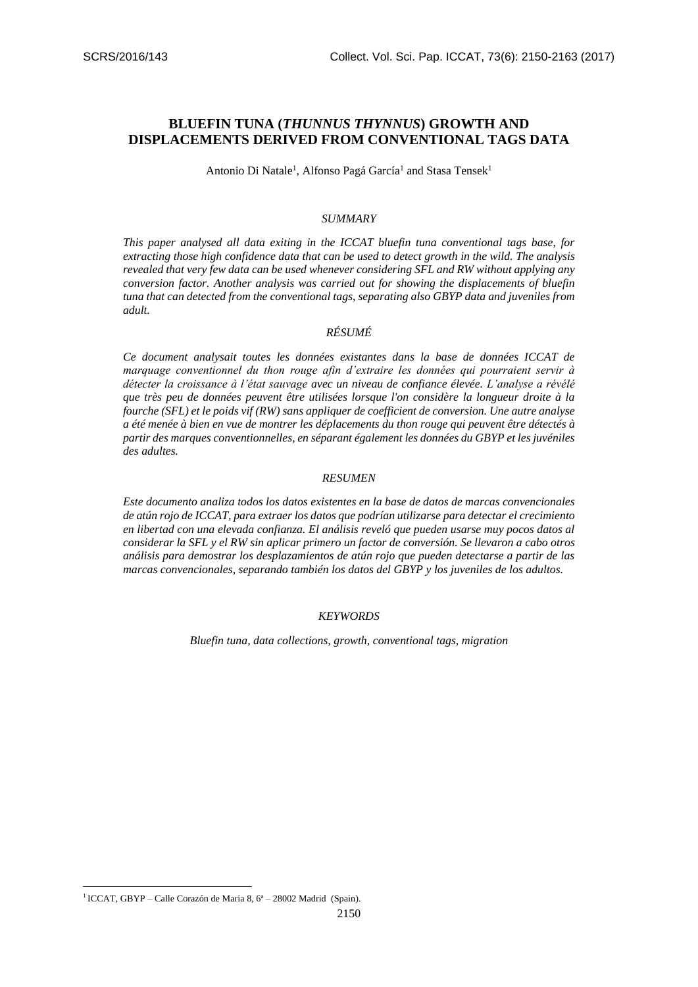# **BLUEFIN TUNA (***THUNNUS THYNNUS***) GROWTH AND DISPLACEMENTS DERIVED FROM CONVENTIONAL TAGS DATA**

Antonio Di Natale<sup>1</sup>, Alfonso Pagá García<sup>1</sup> and Stasa Tensek<sup>1</sup>

#### *SUMMARY*

*This paper analysed all data exiting in the ICCAT bluefin tuna conventional tags base, for extracting those high confidence data that can be used to detect growth in the wild. The analysis revealed that very few data can be used whenever considering SFL and RW without applying any conversion factor. Another analysis was carried out for showing the displacements of bluefin tuna that can detected from the conventional tags, separating also GBYP data and juveniles from adult.*

# *RÉSUMÉ*

*Ce document analysait toutes les données existantes dans la base de données ICCAT de marquage conventionnel du thon rouge afin d'extraire les données qui pourraient servir à détecter la croissance à l'état sauvage avec un niveau de confiance élevée. L'analyse a révélé que très peu de données peuvent être utilisées lorsque l'on considère la longueur droite à la fourche (SFL) et le poids vif (RW) sans appliquer de coefficient de conversion. Une autre analyse a été menée à bien en vue de montrer les déplacements du thon rouge qui peuvent être détectés à partir des marques conventionnelles, en séparant également les données du GBYP et les juvéniles des adultes.*

#### *RESUMEN*

*Este documento analiza todos los datos existentes en la base de datos de marcas convencionales de atún rojo de ICCAT, para extraer los datos que podrían utilizarse para detectar el crecimiento en libertad con una elevada confianza. El análisis reveló que pueden usarse muy pocos datos al considerar la SFL y el RW sin aplicar primero un factor de conversión. Se llevaron a cabo otros análisis para demostrar los desplazamientos de atún rojo que pueden detectarse a partir de las marcas convencionales, separando también los datos del GBYP y los juveniles de los adultos.*

#### *KEYWORDS*

*Bluefin tuna, data collections, growth, conventional tags, migration*

**.** 

<sup>&</sup>lt;sup>1</sup> ICCAT, GBYP – Calle Corazón de Maria 8, 6<sup>ª</sup> – 28002 Madrid (Spain).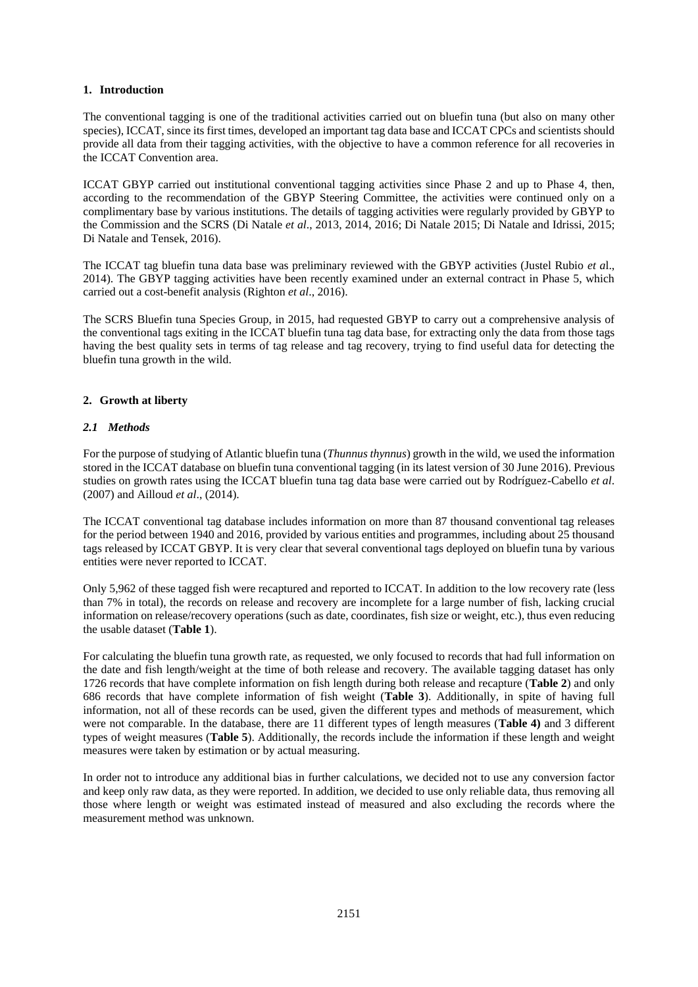### **1. Introduction**

The conventional tagging is one of the traditional activities carried out on bluefin tuna (but also on many other species), ICCAT, since its first times, developed an important tag data base and ICCAT CPCs and scientists should provide all data from their tagging activities, with the objective to have a common reference for all recoveries in the ICCAT Convention area.

ICCAT GBYP carried out institutional conventional tagging activities since Phase 2 and up to Phase 4, then, according to the recommendation of the GBYP Steering Committee, the activities were continued only on a complimentary base by various institutions. The details of tagging activities were regularly provided by GBYP to the Commission and the SCRS (Di Natale *et al*., 2013, 2014, 2016; Di Natale 2015; Di Natale and Idrissi, 2015; Di Natale and Tensek, 2016).

The ICCAT tag bluefin tuna data base was preliminary reviewed with the GBYP activities (Justel Rubio *et a*l., 2014). The GBYP tagging activities have been recently examined under an external contract in Phase 5, which carried out a cost-benefit analysis (Righton *et al*., 2016).

The SCRS Bluefin tuna Species Group, in 2015, had requested GBYP to carry out a comprehensive analysis of the conventional tags exiting in the ICCAT bluefin tuna tag data base, for extracting only the data from those tags having the best quality sets in terms of tag release and tag recovery, trying to find useful data for detecting the bluefin tuna growth in the wild.

# **2. Growth at liberty**

# *2.1 Methods*

For the purpose of studying of Atlantic bluefin tuna (*Thunnus thynnus*) growth in the wild, we used the information stored in the ICCAT database on bluefin tuna conventional tagging (in its latest version of 30 June 2016). Previous studies on growth rates using the ICCAT bluefin tuna tag data base were carried out by Rodríguez-Cabello *et al*. (2007) and Ailloud *et al*., (2014).

The ICCAT conventional tag database includes information on more than 87 thousand conventional tag releases for the period between 1940 and 2016, provided by various entities and programmes, including about 25 thousand tags released by ICCAT GBYP. It is very clear that several conventional tags deployed on bluefin tuna by various entities were never reported to ICCAT.

Only 5,962 of these tagged fish were recaptured and reported to ICCAT. In addition to the low recovery rate (less than 7% in total), the records on release and recovery are incomplete for a large number of fish, lacking crucial information on release/recovery operations (such as date, coordinates, fish size or weight, etc.), thus even reducing the usable dataset (**Table 1**).

For calculating the bluefin tuna growth rate, as requested, we only focused to records that had full information on the date and fish length/weight at the time of both release and recovery. The available tagging dataset has only 1726 records that have complete information on fish length during both release and recapture (**Table 2**) and only 686 records that have complete information of fish weight (**Table 3**). Additionally, in spite of having full information, not all of these records can be used, given the different types and methods of measurement, which were not comparable. In the database, there are 11 different types of length measures (**Table 4)** and 3 different types of weight measures (**Table 5**). Additionally, the records include the information if these length and weight measures were taken by estimation or by actual measuring.

In order not to introduce any additional bias in further calculations, we decided not to use any conversion factor and keep only raw data, as they were reported. In addition, we decided to use only reliable data, thus removing all those where length or weight was estimated instead of measured and also excluding the records where the measurement method was unknown.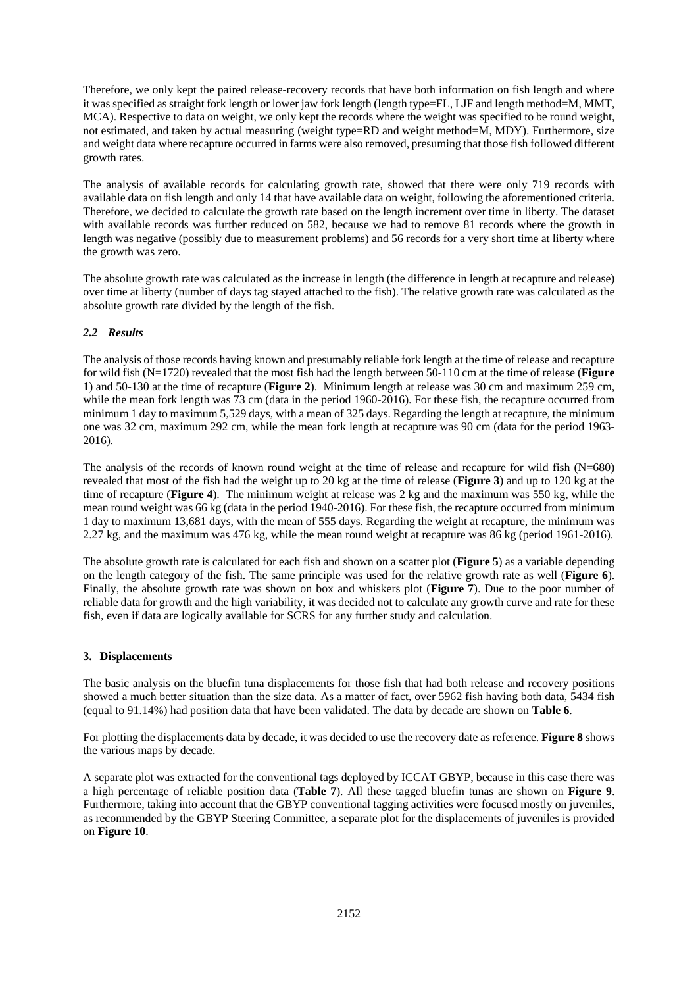Therefore, we only kept the paired release-recovery records that have both information on fish length and where it was specified as straight fork length or lower jaw fork length (length type=FL, LJF and length method=M, MMT, MCA). Respective to data on weight, we only kept the records where the weight was specified to be round weight, not estimated, and taken by actual measuring (weight type=RD and weight method=M, MDY). Furthermore, size and weight data where recapture occurred in farms were also removed, presuming that those fish followed different growth rates.

The analysis of available records for calculating growth rate, showed that there were only 719 records with available data on fish length and only 14 that have available data on weight, following the aforementioned criteria. Therefore, we decided to calculate the growth rate based on the length increment over time in liberty. The dataset with available records was further reduced on 582, because we had to remove 81 records where the growth in length was negative (possibly due to measurement problems) and 56 records for a very short time at liberty where the growth was zero.

The absolute growth rate was calculated as the increase in length (the difference in length at recapture and release) over time at liberty (number of days tag stayed attached to the fish). The relative growth rate was calculated as the absolute growth rate divided by the length of the fish.

# *2.2 Results*

The analysis of those records having known and presumably reliable fork length at the time of release and recapture for wild fish (N=1720) revealed that the most fish had the length between 50-110 cm at the time of release (**Figure 1**) and 50-130 at the time of recapture (**Figure 2**). Minimum length at release was 30 cm and maximum 259 cm, while the mean fork length was 73 cm (data in the period 1960-2016). For these fish, the recapture occurred from minimum 1 day to maximum 5,529 days, with a mean of 325 days. Regarding the length at recapture, the minimum one was 32 cm, maximum 292 cm, while the mean fork length at recapture was 90 cm (data for the period 1963- 2016).

The analysis of the records of known round weight at the time of release and recapture for wild fish (N=680) revealed that most of the fish had the weight up to 20 kg at the time of release (**Figure 3**) and up to 120 kg at the time of recapture (**Figure 4**). The minimum weight at release was 2 kg and the maximum was 550 kg, while the mean round weight was 66 kg (data in the period 1940-2016). For these fish, the recapture occurred from minimum 1 day to maximum 13,681 days, with the mean of 555 days. Regarding the weight at recapture, the minimum was 2.27 kg, and the maximum was 476 kg, while the mean round weight at recapture was 86 kg (period 1961-2016).

The absolute growth rate is calculated for each fish and shown on a scatter plot (**Figure 5**) as a variable depending on the length category of the fish. The same principle was used for the relative growth rate as well (**Figure 6**). Finally, the absolute growth rate was shown on box and whiskers plot (**Figure 7**). Due to the poor number of reliable data for growth and the high variability, it was decided not to calculate any growth curve and rate for these fish, even if data are logically available for SCRS for any further study and calculation.

### **3. Displacements**

The basic analysis on the bluefin tuna displacements for those fish that had both release and recovery positions showed a much better situation than the size data. As a matter of fact, over 5962 fish having both data, 5434 fish (equal to 91.14%) had position data that have been validated. The data by decade are shown on **Table 6**.

For plotting the displacements data by decade, it was decided to use the recovery date as reference. **Figure 8** shows the various maps by decade.

A separate plot was extracted for the conventional tags deployed by ICCAT GBYP, because in this case there was a high percentage of reliable position data (**Table 7**). All these tagged bluefin tunas are shown on **Figure 9**. Furthermore, taking into account that the GBYP conventional tagging activities were focused mostly on juveniles, as recommended by the GBYP Steering Committee, a separate plot for the displacements of juveniles is provided on **Figure 10**.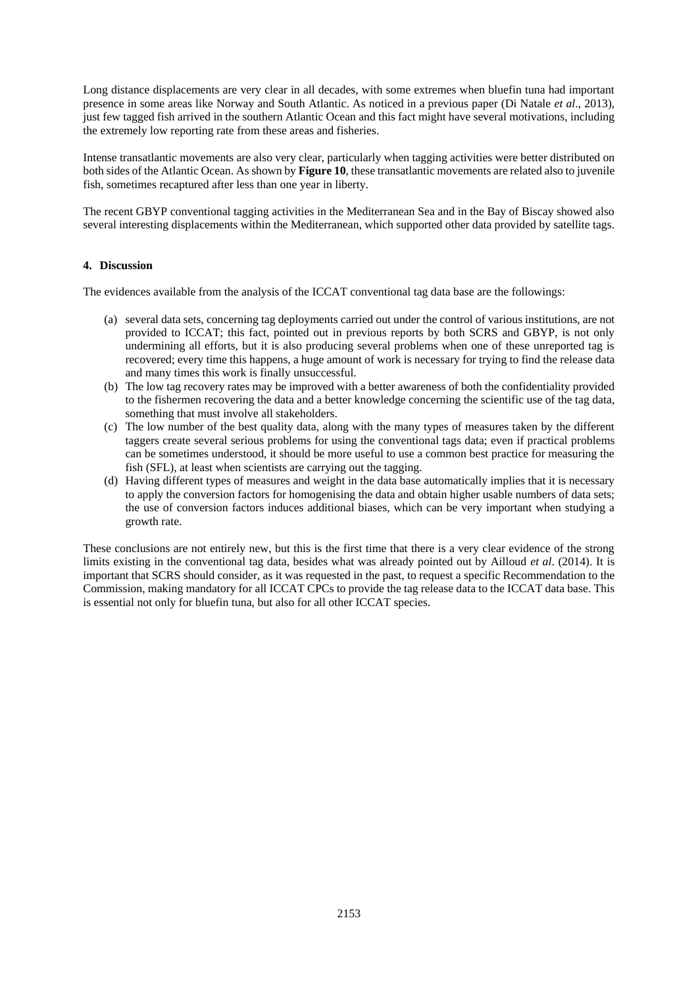Long distance displacements are very clear in all decades, with some extremes when bluefin tuna had important presence in some areas like Norway and South Atlantic. As noticed in a previous paper (Di Natale *et al*., 2013), just few tagged fish arrived in the southern Atlantic Ocean and this fact might have several motivations, including the extremely low reporting rate from these areas and fisheries.

Intense transatlantic movements are also very clear, particularly when tagging activities were better distributed on both sides of the Atlantic Ocean. As shown by **Figure 10**, these transatlantic movements are related also to juvenile fish, sometimes recaptured after less than one year in liberty.

The recent GBYP conventional tagging activities in the Mediterranean Sea and in the Bay of Biscay showed also several interesting displacements within the Mediterranean, which supported other data provided by satellite tags.

#### **4. Discussion**

The evidences available from the analysis of the ICCAT conventional tag data base are the followings:

- (a) several data sets, concerning tag deployments carried out under the control of various institutions, are not provided to ICCAT; this fact, pointed out in previous reports by both SCRS and GBYP, is not only undermining all efforts, but it is also producing several problems when one of these unreported tag is recovered; every time this happens, a huge amount of work is necessary for trying to find the release data and many times this work is finally unsuccessful.
- (b) The low tag recovery rates may be improved with a better awareness of both the confidentiality provided to the fishermen recovering the data and a better knowledge concerning the scientific use of the tag data, something that must involve all stakeholders.
- (c) The low number of the best quality data, along with the many types of measures taken by the different taggers create several serious problems for using the conventional tags data; even if practical problems can be sometimes understood, it should be more useful to use a common best practice for measuring the fish (SFL), at least when scientists are carrying out the tagging.
- (d) Having different types of measures and weight in the data base automatically implies that it is necessary to apply the conversion factors for homogenising the data and obtain higher usable numbers of data sets; the use of conversion factors induces additional biases, which can be very important when studying a growth rate.

These conclusions are not entirely new, but this is the first time that there is a very clear evidence of the strong limits existing in the conventional tag data, besides what was already pointed out by Ailloud *et al*. (2014). It is important that SCRS should consider, as it was requested in the past, to request a specific Recommendation to the Commission, making mandatory for all ICCAT CPCs to provide the tag release data to the ICCAT data base. This is essential not only for bluefin tuna, but also for all other ICCAT species.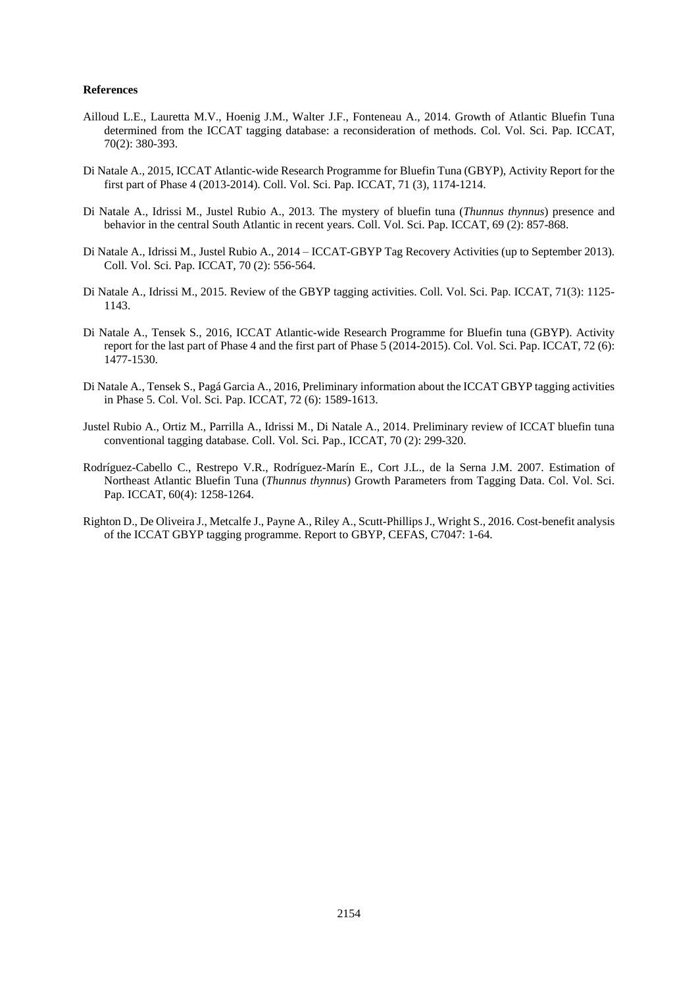#### **References**

- Ailloud L.E., Lauretta M.V., Hoenig J.M., Walter J.F., Fonteneau A., 2014. Growth of Atlantic Bluefin Tuna determined from the ICCAT tagging database: a reconsideration of methods. Col. Vol. Sci. Pap. ICCAT, 70(2): 380-393.
- Di Natale A., 2015, ICCAT Atlantic-wide Research Programme for Bluefin Tuna (GBYP), Activity Report for the first part of Phase 4 (2013-2014). Coll. Vol. Sci. Pap. ICCAT, 71 (3), 1174-1214.
- Di Natale A., Idrissi M., Justel Rubio A., 2013. The mystery of bluefin tuna (*Thunnus thynnus*) presence and behavior in the central South Atlantic in recent years. Coll. Vol. Sci. Pap. ICCAT, 69 (2): 857-868.
- Di Natale A., Idrissi M., Justel Rubio A., 2014 ICCAT-GBYP Tag Recovery Activities (up to September 2013). Coll. Vol. Sci. Pap. ICCAT, 70 (2): 556-564.
- Di Natale A., Idrissi M., 2015. Review of the GBYP tagging activities. Coll. Vol. Sci. Pap. ICCAT, 71(3): 1125- 1143.
- Di Natale A., Tensek S., 2016, ICCAT Atlantic-wide Research Programme for Bluefin tuna (GBYP). Activity report for the last part of Phase 4 and the first part of Phase 5 (2014-2015). Col. Vol. Sci. Pap. ICCAT, 72 (6): 1477-1530.
- Di Natale A., Tensek S., Pagá Garcia A., 2016, Preliminary information about the ICCAT GBYP tagging activities in Phase 5. Col. Vol. Sci. Pap. ICCAT, 72 (6): 1589-1613.
- Justel Rubio A., Ortiz M., Parrilla A., Idrissi M., Di Natale A., 2014. Preliminary review of ICCAT bluefin tuna conventional tagging database. Coll. Vol. Sci. Pap., ICCAT, 70 (2): 299-320.
- Rodríguez-Cabello C., Restrepo V.R., Rodríguez-Marín E., Cort J.L., de la Serna J.M. 2007. Estimation of Northeast Atlantic Bluefin Tuna (*Thunnus thynnus*) Growth Parameters from Tagging Data. Col. Vol. Sci. Pap. ICCAT, 60(4): 1258-1264.
- Righton D., De Oliveira J., Metcalfe J., Payne A., Riley A., Scutt-Phillips J., Wright S., 2016. Cost-benefit analysis of the ICCAT GBYP tagging programme. Report to GBYP, CEFAS, C7047: 1-64.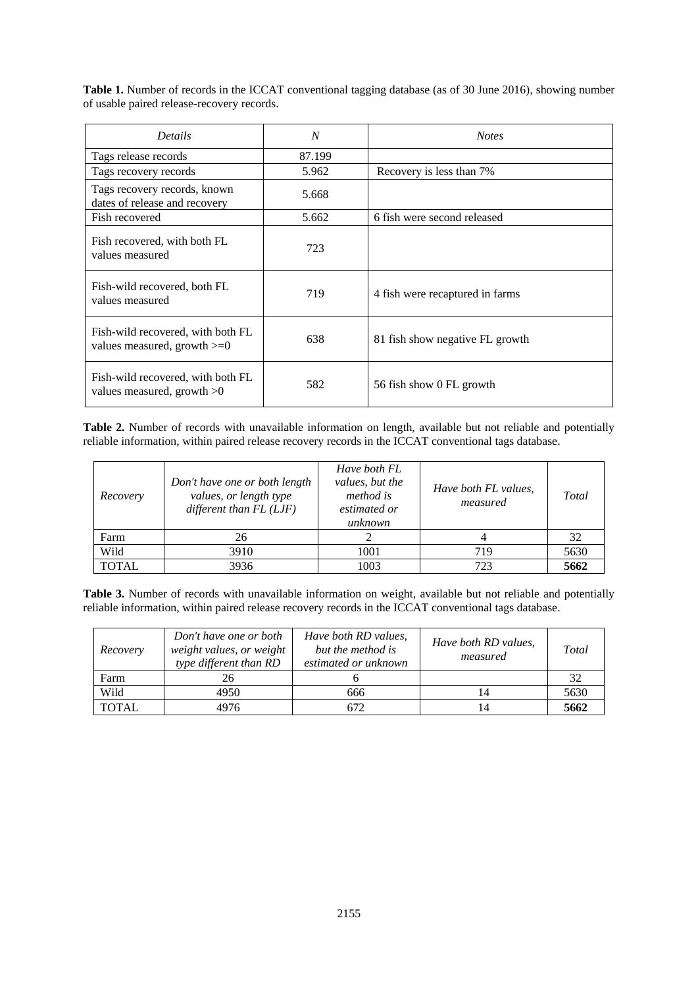**Table 1.** Number of records in the ICCAT conventional tagging database (as of 30 June 2016), showing number of usable paired release-recovery records.

| <b>Details</b>                                                     | N      | <b>Notes</b>                    |
|--------------------------------------------------------------------|--------|---------------------------------|
| Tags release records                                               | 87.199 |                                 |
| Tags recovery records                                              | 5.962  | Recovery is less than 7%        |
| Tags recovery records, known<br>dates of release and recovery      | 5.668  |                                 |
| Fish recovered                                                     | 5.662  | 6 fish were second released     |
| Fish recovered, with both FL<br>values measured                    | 723    |                                 |
| Fish-wild recovered, both FL<br>values measured                    | 719    | 4 fish were recaptured in farms |
| Fish-wild recovered, with both FL<br>values measured, growth $>=0$ | 638    | 81 fish show negative FL growth |
| Fish-wild recovered, with both FL<br>values measured, growth $>0$  | 582    | 56 fish show 0 FL growth        |

**Table 2.** Number of records with unavailable information on length, available but not reliable and potentially reliable information, within paired release recovery records in the ICCAT conventional tags database.

| Recovery     | Don't have one or both length<br>values, or length type<br>different than $FL$ (LJF) | Have both FL<br>values, but the<br><i>method is</i><br>estimated or<br>unknown | Have both FL values,<br>measured | Total |
|--------------|--------------------------------------------------------------------------------------|--------------------------------------------------------------------------------|----------------------------------|-------|
| Farm         | 26                                                                                   |                                                                                |                                  | 32    |
| Wild         | 3910                                                                                 | 1001                                                                           | 719                              | 5630  |
| <b>TOTAL</b> | 3936                                                                                 | 1003                                                                           | 723                              | 5662  |

**Table 3.** Number of records with unavailable information on weight, available but not reliable and potentially reliable information, within paired release recovery records in the ICCAT conventional tags database.

| Recovery     | Don't have one or both<br>weight values, or weight<br>type different than RD | Have both RD values,<br>but the method is<br>estimated or unknown | Have both RD values,<br>measured | Total |
|--------------|------------------------------------------------------------------------------|-------------------------------------------------------------------|----------------------------------|-------|
| Farm         | 26                                                                           |                                                                   |                                  | 32    |
| Wild         | 4950                                                                         | 666                                                               |                                  | 5630  |
| <b>TOTAL</b> | 4976                                                                         | 672                                                               |                                  | 5662  |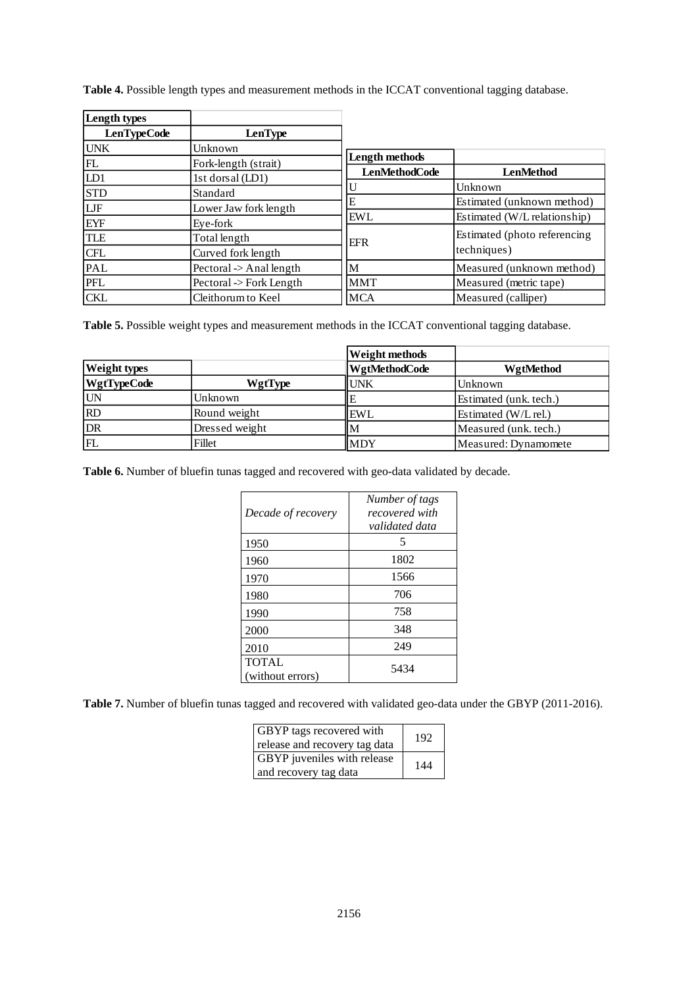| Length types       |                             |                      |                               |
|--------------------|-----------------------------|----------------------|-------------------------------|
| <b>LenTypeCode</b> | LenType                     |                      |                               |
| <b>UNK</b>         | Unknown                     |                      |                               |
| FL                 | Fork-length (strait)        | Length methods       |                               |
| LD1                | 1st dorsal (LD1)            | <b>LenMethodCode</b> | <b>LenMethod</b>              |
| <b>STD</b>         | Standard                    | U                    | Unknown                       |
| LJF                | Lower Jaw fork length       | E                    | Estimated (unknown method)    |
| <b>EYF</b>         | Eye-fork                    | <b>EWL</b>           | Estimated (W/L relationship)  |
| <b>TLE</b>         | Total length                | <b>EFR</b>           | Estimated (photo referencing) |
| <b>CFL</b>         | Curved fork length          |                      | techniques)                   |
| PAL                | Pectoral $\geq$ Anal length | M                    | Measured (unknown method)     |
| PFL                | Pectoral -> Fork Length     | <b>MMT</b>           | Measured (metric tape)        |
| <b>CKL</b>         | Cleithorum to Keel          | <b>MCA</b>           | Measured (calliper)           |

**Table 4.** Possible length types and measurement methods in the ICCAT conventional tagging database.

**Table 5.** Possible weight types and measurement methods in the ICCAT conventional tagging database.

|                     |                | Weight methods |                        |
|---------------------|----------------|----------------|------------------------|
| <b>Weight types</b> |                | WgtMethodCode  | WgtMethod              |
| <b>WgtTypeCode</b>  | WgtType        | <b>IUNK</b>    | Unknown                |
| <b>UN</b>           | Unknown        |                | Estimated (unk. tech.) |
| RD                  | Round weight   | IEWL           | Estimated (W/L rel.)   |
| DR                  | Dressed weight | lМ             | Measured (unk. tech.)  |
| FL                  | Fillet         | <b>MDY</b>     | Measured: Dynamomete   |

**Table 6.** Number of bluefin tunas tagged and recovered with geo-data validated by decade.

| Decade of recovery               | Number of tags<br>recovered with<br>validated data |
|----------------------------------|----------------------------------------------------|
| 1950                             | 5                                                  |
| 1960                             | 1802                                               |
| 1970                             | 1566                                               |
| 1980                             | 706                                                |
| 1990                             | 758                                                |
| 2000                             | 348                                                |
| 2010                             | 249                                                |
| <b>TOTAL</b><br>(without errors) | 5434                                               |

**Table 7.** Number of bluefin tunas tagged and recovered with validated geo-data under the GBYP (2011-2016).

| <b>GBYP</b> tags recovered with<br>release and recovery tag data | 192 |
|------------------------------------------------------------------|-----|
| GBYP juveniles with release<br>and recovery tag data             | 144 |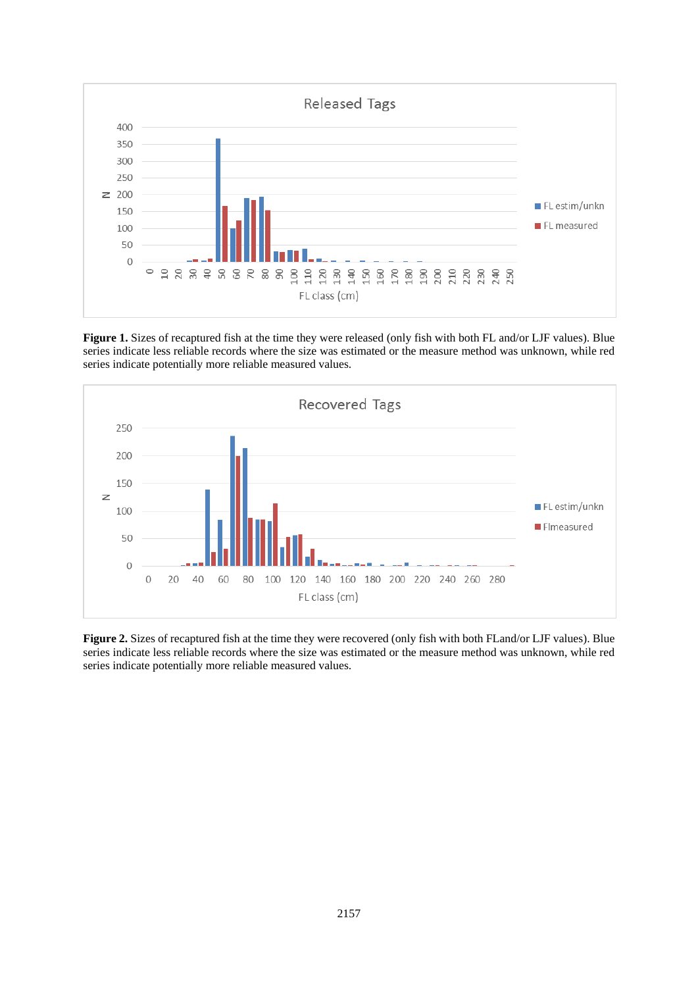

**Figure 1.** Sizes of recaptured fish at the time they were released (only fish with both FL and/or LJF values). Blue series indicate less reliable records where the size was estimated or the measure method was unknown, while red series indicate potentially more reliable measured values.



**Figure 2.** Sizes of recaptured fish at the time they were recovered (only fish with both FLand/or LJF values). Blue series indicate less reliable records where the size was estimated or the measure method was unknown, while red series indicate potentially more reliable measured values.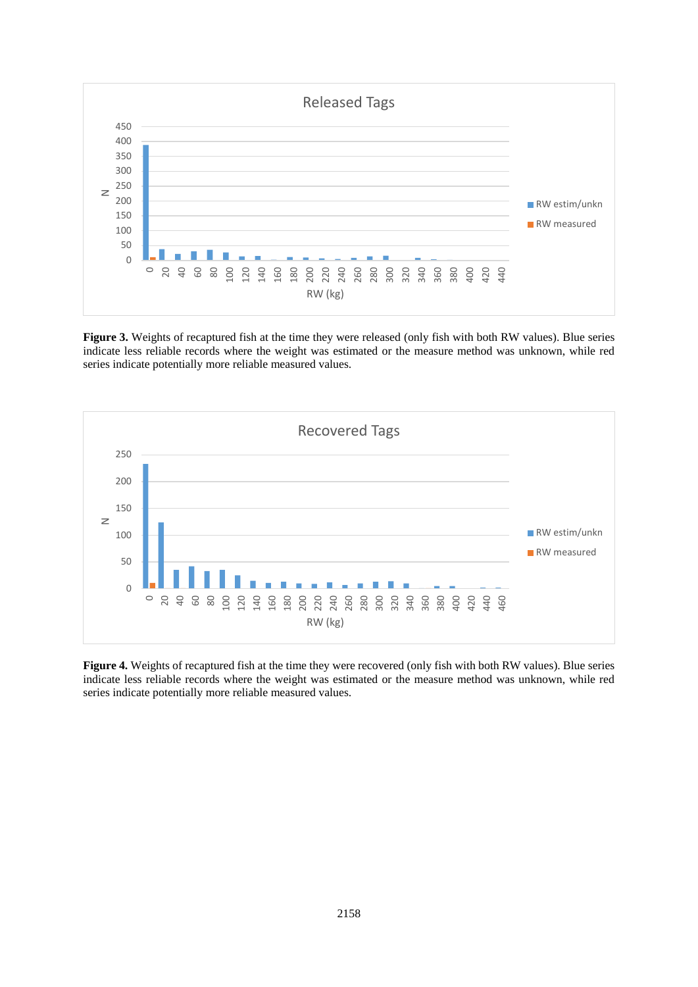

**Figure 3.** Weights of recaptured fish at the time they were released (only fish with both RW values). Blue series indicate less reliable records where the weight was estimated or the measure method was unknown, while red series indicate potentially more reliable measured values.



**Figure 4.** Weights of recaptured fish at the time they were recovered (only fish with both RW values). Blue series indicate less reliable records where the weight was estimated or the measure method was unknown, while red series indicate potentially more reliable measured values.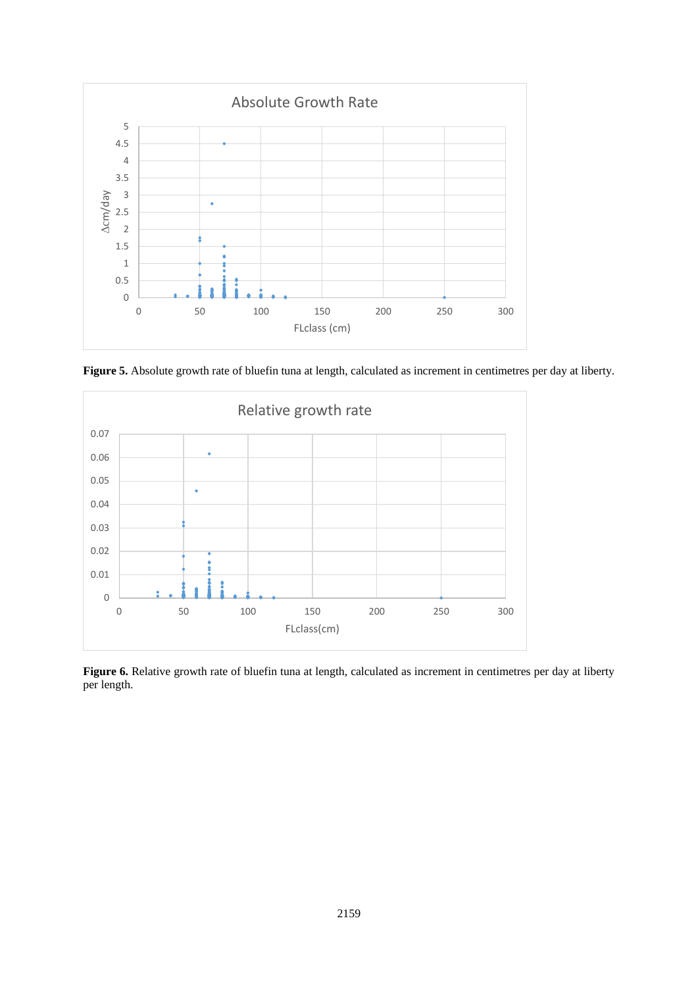

Figure 5. Absolute growth rate of bluefin tuna at length, calculated as increment in centimetres per day at liberty.



**Figure 6.** Relative growth rate of bluefin tuna at length, calculated as increment in centimetres per day at liberty per length.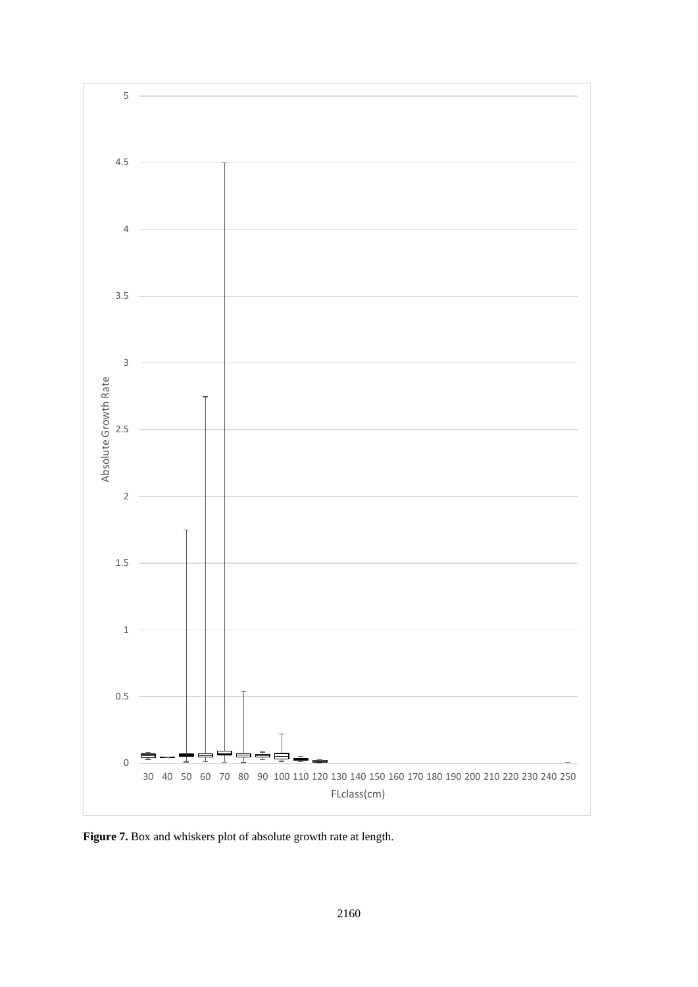

**Figure 7.** Box and whiskers plot of absolute growth rate at length.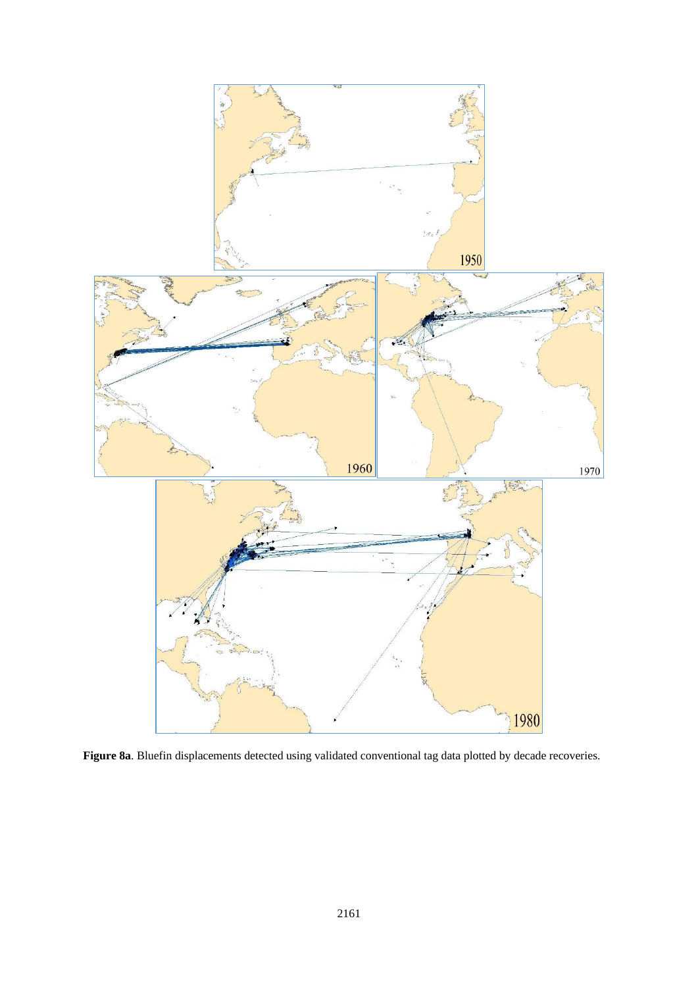

**Figure 8a**. Bluefin displacements detected using validated conventional tag data plotted by decade recoveries.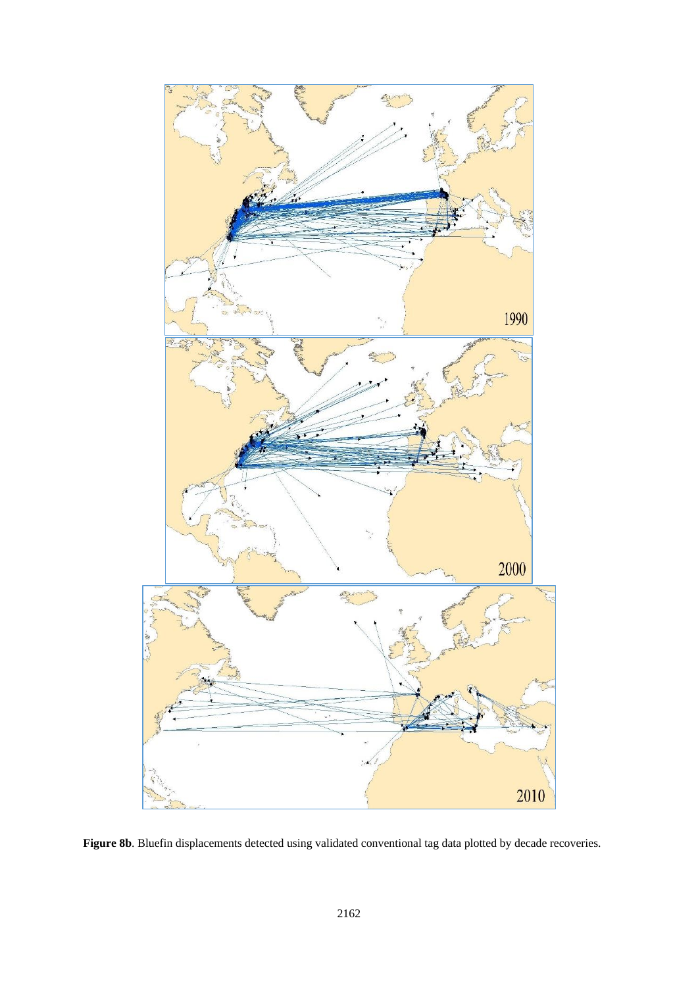

Figure 8b. Bluefin displacements detected using validated conventional tag data plotted by decade recoveries.